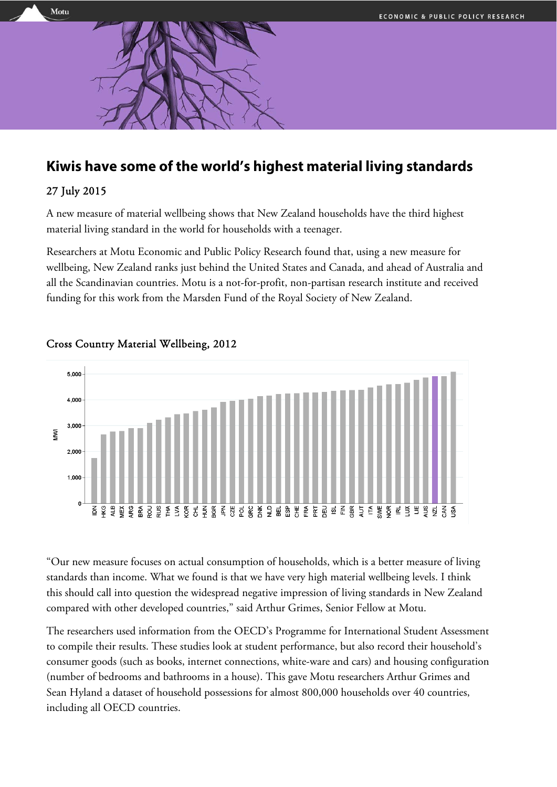

# **Kiwis have some of the world's highest material living standards**

## 27 July 2015

A new measure of material wellbeing shows that New Zealand households have the third highest material living standard in the world for households with a teenager.

Researchers at Motu Economic and Public Policy Research found that, using a new measure for wellbeing, New Zealand ranks just behind the United States and Canada, and ahead of Australia and all the Scandinavian countries. Motu is a not-for-profit, non-partisan research institute and received funding for this work from the Marsden Fund of the Royal Society of New Zealand.



## Cross Country Material Wellbeing, 2012

"Our new measure focuses on actual consumption of households, which is a better measure of living standards than income. What we found is that we have very high material wellbeing levels. I think this should call into question the widespread negative impression of living standards in New Zealand compared with other developed countries," said Arthur Grimes, Senior Fellow at Motu.

The researchers used information from the OECD's Programme for International Student Assessment to compile their results. These studies look at student performance, but also record their household's consumer goods (such as books, internet connections, white-ware and cars) and housing configuration (number of bedrooms and bathrooms in a house). This gave Motu researchers Arthur Grimes and Sean Hyland a dataset of household possessions for almost 800,000 households over 40 countries, including all OECD countries.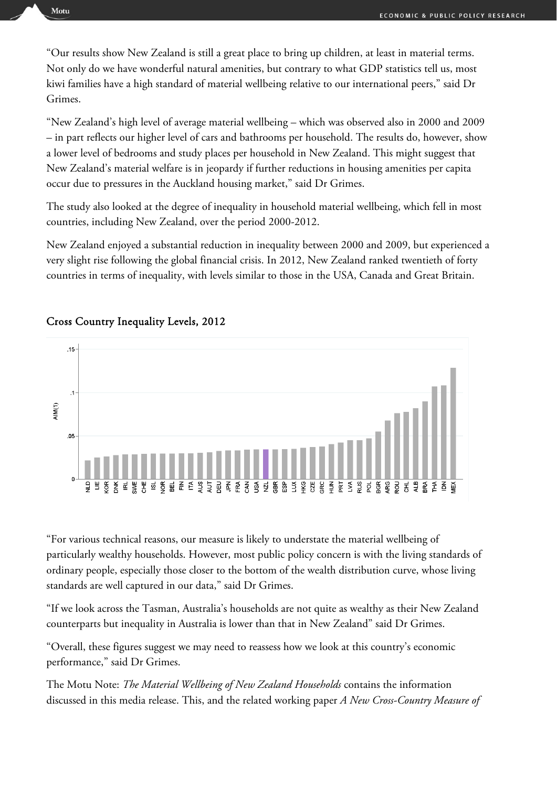"Our results show New Zealand is still a great place to bring up children, at least in material terms. Not only do we have wonderful natural amenities, but contrary to what GDP statistics tell us, most kiwi families have a high standard of material wellbeing relative to our international peers," said Dr Grimes.

"New Zealand's high level of average material wellbeing – which was observed also in 2000 and 2009 – in part reflects our higher level of cars and bathrooms per household. The results do, however, show a lower level of bedrooms and study places per household in New Zealand. This might suggest that New Zealand's material welfare is in jeopardy if further reductions in housing amenities per capita occur due to pressures in the Auckland housing market," said Dr Grimes.

The study also looked at the degree of inequality in household material wellbeing, which fell in most countries, including New Zealand, over the period 2000-2012.

New Zealand enjoyed a substantial reduction in inequality between 2000 and 2009, but experienced a very slight rise following the global financial crisis. In 2012, New Zealand ranked twentieth of forty countries in terms of inequality, with levels similar to those in the USA, Canada and Great Britain.



### Cross Country Inequality Levels, 2012

"For various technical reasons, our measure is likely to understate the material wellbeing of particularly wealthy households. However, most public policy concern is with the living standards of ordinary people, especially those closer to the bottom of the wealth distribution curve, whose living standards are well captured in our data," said Dr Grimes.

"If we look across the Tasman, Australia's households are not quite as wealthy as their New Zealand counterparts but inequality in Australia is lower than that in New Zealand" said Dr Grimes.

"Overall, these figures suggest we may need to reassess how we look at this country's economic performance," said Dr Grimes.

The Motu Note: *The Material Wellbeing of New Zealand Households* contains the information discussed in this media release. This, and the related working paper *A New Cross-Country Measure of*